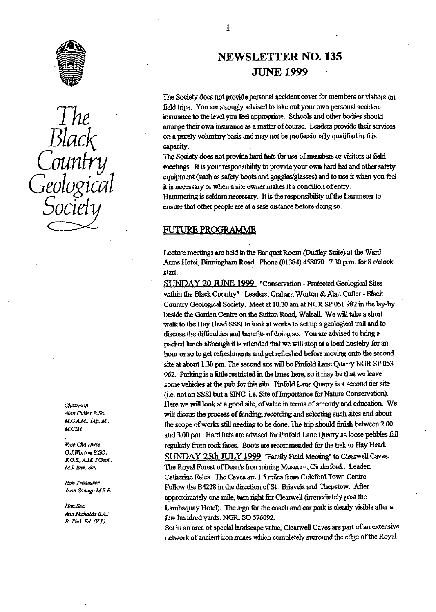

Socie

**M.C.A.M., L.**<br>McDL

Vice Chairman en Monten Babel,<br>F.G.S., A.M. I Geol.,

Hon Treasurer

Hon.Sec.

# NEWSLETTER **NO. 135 JUNE** 1999

**The** Society does not provide personal accident cover for members or visitors on field trips. You are strongly advised to take out your own personal accident The insurance to the level you feel appropriate. Schools and other bodies should<br>arrange their own insurance as a matter of course. Leaders provide their serv.<br>DIACK on a purely voluntary basis and may not be professionall arrange their own insurance as a matter of course. Leaders provide their services on a purely voluntary basis and may not be professionally qualified in this capacity.

The Society does not provide hard hats for use of members or visitors at field<br>meetings. It is your responsibility to provide your own hard hat and other safety<br>equipment (such as safety boots and goggles/glasses) and to u equipment (such as safety boots and goggles/glasses) and to use it when you fed it is necessary or when a site owner makes it a condition of entry. Hammering is seldom necessary. It is the responsibility of the hammerer to ensure that other people are at a safe distance before doing so.

#### • FUTURE PROGRAMME

Lecture meetings are held in the Banq**ue**t Room (Dudley Suite) at the Ward **Arms** Hotel, Birmingham Road. Phone (01384) 458070. 7.30 pin, for 8 o'clock start.

SUNDAY 20 JUNE 1999 "Conservation - Protected Geological Sites within the Black Country" Leaders: Graham Worton & Alan Cutler - Black Country Geological Society. Meet at 10.30 am at NGR SP 051982 in the lay-by beside the Garden Centre on the Sutton Road, Walsall. We will take a sho**rt** walk to the Hay Head SSSI to look at works to set up a geological trail and to discuss the difficulties and benefits of doing so. **You** are advised to bring a packed hunch although it is intended that we will stop at a local hostelry for an hour or so to get refreshments and get refreshed before moving onto the second site at about 1.30 pm. The second site will be Pinfold Lane Quarry NGR SP 053 962. Parking is a little restricted in the lanes here, so it ray **be** that we leave some vehicles at the pub for this site. Pinfold Lane Quarry is a second tier site (i.e. not an SSSI but a SINC ie. Site of Importance for Nature Conservation). *Chairman* • Here we will look at a good site, of value in terms of amenity and education. We<br>Alan Cutler B.Sc. **Here** will discus the process of funding recording and selecting such sites and about will discus the process of funding, recording and selecting such sites and about the scope of works still needing to be done. The trip should finish between 2.00 and 3.00 pin. Hard hats are advised fox Pinfold Lane Quarry as loose pebbles fall regularly from rock faces. Boots are recommended for the **tr**ek to Hay Head. SUNDAY 25th JULY 1999 "Family Field Meeting" to Clearwell Caves, *MJ Env. &.* **The** Royal Forest of Dean's Iron mining Museum, Cinderford.. Leader: Catherine **Bales.** The Caves are 1.5 miles from Coleford Town Centre Follow the B4228 in the direction of St. Briavels and Chepstow. After Joan Savage M.S.F. approximately one m**il**e, turn right for Clearwell (immediately past the Lambsquay Hotel). The sign for the coach and car park is clearly visible after a *Ann* Nicholds B.A.,<br> *B. Phil. Ed. (V.I.)* few hundred yards. NGR. SO 576092.

Set in an area of special landscape value, Clearwell Caves are part of an extensive network of ancient iron mines which completely surround the edge of the Royal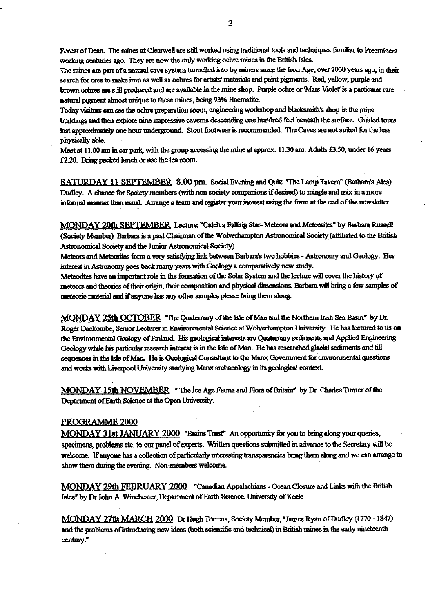Forest of Dean. The mines at Clearwell are still worked using traditional tools and techniques familiar to Freeminers working centuries ago. They are now the only working ochre mines in the British Isles.

The mines are part of a natural cave system tunnelled into by miners since the Iron Age, over 2000 years ago, in their search for ores to make iron as well as ochres for artists' materials and paint pigments. Red, yellow, purple and brown ochres are still produced and are available in the mine shop. Purple ochre or 'Mars Violet' is a particular rare natural pigment almost unique to these mines, being 93% Haematite.

Today visitors can see the ochre predation room, engineering workshop and blacksmiths shop *in the mine*

buildings and then explore nine impressive caverns descending one hundred feet beneath the surface. Guided tours last approximately one hour underground. Stout footwear is recommended. The Caves are not suited for the less physically able.

Meet at 11.00 am in car park, with the group accessing the mine at approx. 11.30 am. Adults £3.50, under 16 years £2.20. **Bring packed lunch** or use the tea room.

**SATURDAY 11 SEPTEMBER 8.00 pm** Social Evening and Quiz "The Lamp Tavern" (Batbam's Ales) Dudley. A chance for Society members (with non society companions if desired) to mingle and mix in a more informal manner than usual. Arrange a team and register your interest using the form at the end of the newsletter.

**MONDAY 20th SEPTEMBER** Lecture: "Catch a Falling Star Meteors and Meteorites" by Barbara Russell (Society Member)- Barbara is a past Chairman of the Wolverhampton Astronomical Society (affiliated to the British Astronomical Society and the Junior **Astronomical** Society).

Meteors and Meteorites form a very satisfying link between Barbara's two hobbies - Astronomy and Geology. Her interest in Astronomy goes back many yeas with Geology a comparatively new study.

Meteoxites have an important role **in** the formation of the Solar System and the lecture will cover the history of meteors and *theories of* their origin, their composition and physical dimensions. Barbara will bring a few samples of meteoric material and if anyone has any other samples please bring them along.

**MONDAY 25th OCTOBER "The Quaternary of the Isle of Man and the Northern Irish Sea Basin" by Dr.** Roger Dackombe, Senior Lecturer in Environmental Science at Wolverhampton University. He has lectured to us on the End Geology of Finland. His geological *interests* are Quaternary sediments and Applied Engineering Geology while his particular research interest is in the Isle of Man. He has researched glacial sediments and till<br>sequences in the Isle of Man. He is Geological Consultant to the Manx Government for environmental questic sequences in the Isle of Man. He is Geological Consultant to the Manx Government for environmental questions and works with Liverpool University studying Manx archaeology in its geological context

*MONDAY 15th NOVEMBER* ' The Ice Age Fauna and Flora of Bxithin". by Dr Charles Turner of the Department of Earth Science at the Open University.

#### PROGRAMME 2000

MONDAY **31st** JANUARY 2040 "Brains Trust" An opportunity for you to bring along your queries, specimens, problems etc. to our panel of experts. Written questions submitted in advance to the Secretary will be welcome. If anyone has a collection of particularly interesting transparencies bring them along and we can arrange to show them during the evening Non-members welcome.

MONDAY 29th FEBRUARY 2000 "Canadian Appalachians - Ocean Closure and Links with the British Isles" by Dr John A. Winchester, Department of Earth Science, University of Keele

**MONDAY 27th MARCH 2000 Dr** Hugh Toirens, Society Member, "James Ryan of Dudley (1770 -1847) and the problems of introducing new ideas (both scientific and technical) in British mines in the early nineteenth century."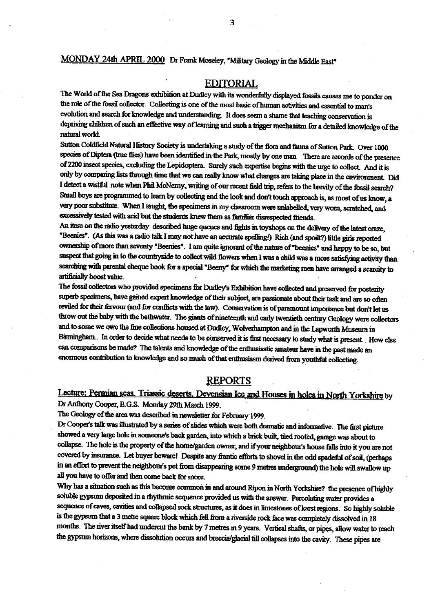## MONDAY 24th APRIL 2000 Dr Frank Moseley, "Military Geology in the Middle East"

### EDITORIAL

The World of the Sea Dragons exhibition at Dudley with its wonderfully displayed fossils causes me to ponder on the role of the fossil collector. Collecting is one of the most basic of human activities and essential to man's evolution and search for knowledge and understanding. It does seem a shame that teaching conservation is depriving children of such an effective way of learning and such a trigger mechanism for a detailed knowledge of the natural world

Sutton Coldfield Natural History Society is undertaking a study of the flora and fauna of Sutton Park. Over 1000 Sutton Coldfield Natural History Society is undertaking a study of the flora and fauna of Sutton Park. Over 1000<br>species of Diptera (true flies) have been identified in the Park, mostly by one man There are records of the of 2200 insect species, excluding the Lepidoptera. Surely such expertise begins with the urge to collect. And it is only by comparing lists **through** time that we can really know what changes are taking place in the environment Did I detect a wistful note when Phil McNemy, writing of our recent field trip, refers to the brevity of the fossil search? Small boys are programmed to learn by collecting and the look and don't touch approach is, as most of us know, a very poor substitute. When I taught, the specimens in my classroom were unlabelled, very worn, scratched, and excessively tested with acid but the students knew them as familiar disrespected friends.

An item on the radio yesterday described huge queues and fights in toyshops on the delivery of the latest craze, 'Beanies'. (As this was a radio talk I may not have an accurate spellingi) Rich (and spoilt?) little girls reported ownership of more than seventy "Beenies". I am quite ignorant of the nature of "beenies" and happy to be so, but suspect that going in to the countryside to collect wild flowers when I was a child was a more satisfying activity than searching with parental cheque book for a special "Beeny" for which the marketing men have arranged a scarcity to artificially boost value.

The fossil collectors who provided specimens for Dudley's Exhibition have collected and preserved for posterity superb specimens, have gained expert knowledge of their subject, are passionate about **their** task **and** are so ohm reviled for their fervour (and for conflicts with the law). Conservation is of paramount importance but don't let us throw out the baby with the bathwater The giants of nineteenth and early twentieth century Geology were collectors and to some we owe the fine collections housed at Dudley, Wolverhampton and in the Lapworth Museum in Birmingham.. In order to decide what needs to be conserved it is first necessary to study what is present. How else can comparisons be made? The talents and knowledge of the enthusiastic amateur have in the past made an enormous contribution to knowledge and so much of that enthusiasm derived from youthful collecting.

#### REPORTS

Lecture: Permian seas, Triassic deserts, Devensian Ice and Houses in holes in North Yorkshire by Dr Anthony C**oo**per, B.G.S. **Monday** 29th March 1999.

The Geology of the area was described in newsletter for February 1999.

Dr Cooper's talk was Illustrated by a series of slides which were both dramatic and-mfonnative. The first picture showed a very large hole in someone's back garden, into which a brick built, tiled **roofed,** garage was about to collapse. The hole is the property of the home/garden owner, and if yourneighbour's house falls into it you are not covered by insurance. Let buyer beware! Despite **an**y frantic efforts to shovel in the odd spadeful of sod (perhaps in an effort to prevent the neighbour's pet **from disappearing** some 9 metres underground) the hole will swallow up all you have to **offer** and then come back for **more.**

Why has a situation such as this become common in and around Ripon in North Yorkshire? the presence of highly soluble gypsum deposited in a rhythmic sequence provided us with the answer. Percolating water provides a sequence of caves, cavities and collapsed rock structures, as it does in limestones of karst regions. So highly soluble is the gypsum that a 3 metre square block which fell from a riverside rock face was completely dissolved in 18 months. The river itself had undercut the bank by 7 metres in 9 years. Vertical shafts, or pipes, allow water to reach the gypsum horizons, where dissolution occurs and breccia/glacial till collapses into the cavity. These pipes are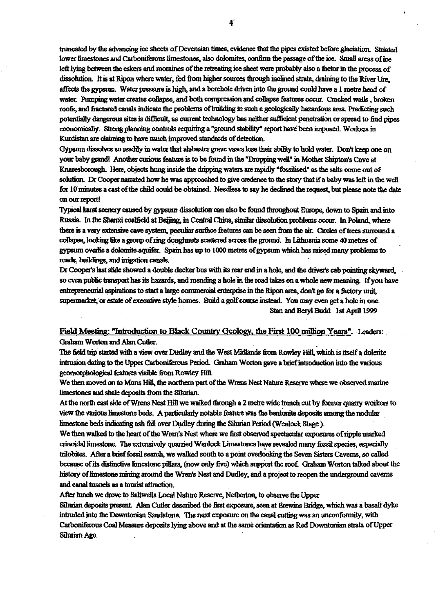truncated by the advancing ice sheets of Devensian times, evidence that the pipes existed before glaciation. Striated **lower limestones and Carboniferous limestones, also doloni.ites, confirm the passage of the ic y . Small areas of ice left lying between the esiets and moraines of the retreating ice sheet were probably also a factor in the process of dissolu . It is at Rim where water,** *fed from higher sources ttuovgh wed* **strata, draining to the River Urn, affects the gypsum. Water pressure is** *high,* **and a** *borehole* **driven into the ground could have a I metre head of water. Pumping water creates collapse, and both compression and collapse features occur. Cracked walls , broken roofs, and flactured canals indicate the problems of building in such a geologically hazardous area. Predicting such** potentially dangerous sites is difficult, as current technology has neither sufficient penetration or spread to find pipes **economically. Strong planning controls requiring a "ground stability" report have been imposed. Workers in Kurdistan are claiming to have much improved standards of detection.**

Gypsum dissolves so readily in water that alabaster grave vases lose their ability to hold water. Don't keep one on **your baby grandi Another curious feature is to be found** *in the* **"Dropping well" in Mother Sbipws Cave at Knazesborough. Here, objects hung inside the dripping waters are rapidly 'fo d" as the salts come out of** solution. Dr Cooper narrated how he was approached to give credence to the story that if a baby was left in the well **for lOminutes a cast of the child could be obtained. Needless to say he declined the request, but please note the date** on our report!

**T picot lit scenery caused by gypsum dissolution can also be found throughout Europe, down to Spain and into Typical karst scenery caused by gypsum dissolution can also be found throughout Europe, down to Spain and in<br>Russia. In the Shanxi coalfield at Beijing, in Central China, similar dissolution problems occur. In Poland, whe there is a very extensive cave system, peculiar** *surface features* **can be seen from the air. Circles of tomes awsound a** collapse, looking like a group of ring doughnuts scattered across the ground. In Lithuania some 40 metres of gypsum overlie a dolomite aquifer. Spain has up to 1000 metres of gypsum which has raised many problems to **roads, buildings, and irrigation canals.**

Dr Cooper's last slide showed a double decker bus with its rear end in a hole, and the driver's cab pointing skyward, **so even public transport has its hazards, and mending a hole in the road takes on a whole new meaning. If** *you have* entrepreneurial aspirations to start a large commercial enterprise in the Ripon area, don't go for a factory unit, **supermarket; or estate of executive style homes. Build a golf course instead. You may even get a hole in one.** Stan and Beryl Budd 1st April 1999

## **Field Meeting: "Introduction to Black Country Geology, the First 100 million Years". Leaders:** Graham Worton and Alan Cutler.

**The fold trip started with a view'over Dudley and the West Midlands from Rowley HIP, which is itself a dolerite intrusion dating to** *the Upper Carboniferous* **Period. Graham Worton gave a brief introduction into the various geomorphological features visible from Rowley Hill.**

We then moved on to Mons Hill, the northern part of the Wrens Nest Nature Reserve where we observed marine **liniestones and shale deposits from the Silurian.**

**At the north east side ofWrens Nest Hilt we walked through a 2 metre wide trench out by former quarry workers to** *view the various limestone beds. A particularly notable feature was the bentonite deposits among the nodular* limestone beds indicating ash fall over Dudley during the Silurian Period (Wenlock Stage).

*We then walked to the heart of the Wiens Nest where we first observed spectacular exposures of ripple marked crinoidal limestone. The extensively quarried W enlock limestones have revealed many fossil species, especially trilobites. After a brief fossil search, we walked south to a point overlooking the Seven Sisters Caverns, so called because of its distinctive limestone pillars, (now only five) which support the root Graham Worton talked about the* history of limestone mining around the Wren's Nest and Dudley, and a project to reopen the underground caverns **and canal tunnels as a tourist attraction.**

**After lunch we drove to Saltwells Local Nature Reserve, Netherton, to observe the Upper**

**Silinian deposits present Alan Cutler described the first exposure, seen at Brewins Bridge, which was a basalt dyke intruded into the Downtanian Sandstone. The next exposure on the canal cutting was an unconformity, with Carboniferous Coal Measure deposits Tying above and at the same orientation as Red Downtonian strata of Upper** Silurian Age.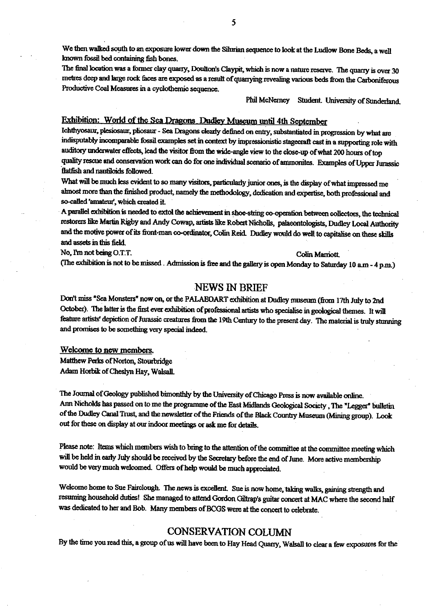We then walked south to an exposure lower down the Silurian sequence to look at the Ludlow Bone Beds, a well known fossil bed containing fish **bones.**

**The final location was a former clay quarry, Doult**<br>The final location was a former clay quarry, Doult<br>metres deen and large rock faces are exposed as a **o n's** Claypit, which is now a nature reserve. The quarry is over 30 metres deep and large rock faces are exposed as a result of quarrying revealing various beds from the Carboniferous Productive Coal Measures in a cyclothemic sequence.

Phil McNerney Student. University of Sunderland.

#### Exhibition: World of the Sea Dragons Dudley Museum until 4th September

Ichthyosaur, plesiosaur, pliosaur - Sea Dragons. **clearly** defined on entry, substantiated in progression by what are indisputably incomparable fossil examples set in context by impressionistic stagecraft cast in a supporting role with auditory underwater effects, lead the visitor from the wide-angle view to the close-up of what 200 hours of top quality rescue and conservation work can do for one individual scenario of ammonites\_ Examples of Upper Jurassic flatfish and nautiloids followed-

What will be much less evident to so many visitors, particularly junior ones, is the display of what impressed me almost more than the finished Product, namely *the methodology,* dedication and expertise, both professional and *so-called'amateuf, which* created it.

A parallel exhibition is needed to extol the achievement in shoe-string co-operation between collectors, the technical restorers like Martin Rigby and Andy Cowap, artists like Robert Nicholls, palaeontologists, Dudley Local Authority and the motive power of its front-man co-ordinator, Colin Reid. Dudley would do well to capitalise on these skills and assets in this field.

No, I'm not being O.T.T. Colin Marriott.

(The exhibition is not to be missed . Admission, is fine and the gallery is open Monday to Saturday 10 am - **4 p.m.)**

#### **NEWS IN BRIEF**

Don't miss "Sea Monsters" now on, or the **PALAEOART** exhibition at Dudley museum (from 17th July to 2nd *October). The latter is* the *first ever* exhibition of professional artists who specialise in geological themes. It will feature artists' depiction of Jurassic creatures from the 19th Century to *the present day.* The material is truly stunning and promises to be something very special indeed.

#### **Welcome to new members.**

Matthew Perks of Norton, Stourbridge Adam Horbik of Cheslyn Hay, **Walsall.**

*The* **Journal** of Geology published bimonthly by the University of Chicago Press is now available online. Ann Nicholds has passed on to me the programme of the East Midlands Geological Society , The "Legger" bulletin *of the* Dudley Canal Trust, and the *newsletter of the* Friends *of the* Black Country Museum (Mining group). Look *out for these* on display at our indoor meetings or ask me for details.

Please note: Items which members wish to bring to *the* attention of the committee at the committee meeting which will be held in early July should be received by the Secretary before the end of June. More active membership would be very much welcomed. Offers of help would be much appreciated.

Welcome home to Sue Pairclough. The news is excellent. Sue is now home, taking walks, gaining strength and resuming household duties! She managed to attend Gordon Giltrap's guitar concert at MAC where the second half was dedicated to her and Bob. Many members of BCGS were at the concert to celebrate.

#### **CONSERVATION COLUMN**

By *the* time you read *this, a group* of us will have been to Hay Head Quarry, Walsall to *clear a few exposures for the*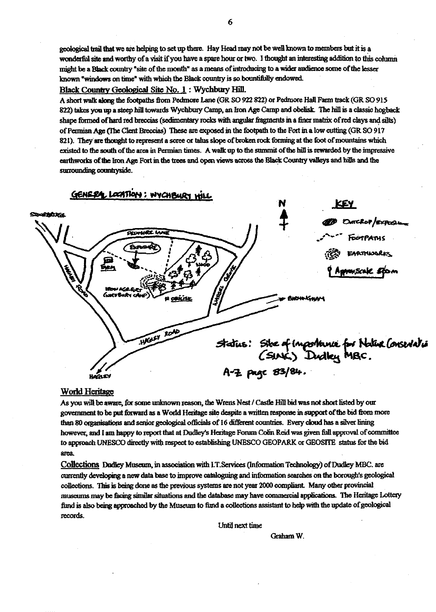geological trail that we are helping to set up there. Hay Head may not be well known to members but it is a wonderfol site and worthy of a visit if you have a spare hour or two. I thought an interesting addition to this column might be a Black country "site of the month" as a means of introducing to a wider audience some of the lesser known "windows on time" with which the Black country is so bountifully endowed.

# Black Country Geological Site No. 1: Wychbury Hill

A short walk along the footpaths from Pedmore Lane (GR SO 922 822) or Pedmore Hall Farm track (GR SO 915 822) takes you up a steep hill towards Wychbury Camp, an Iron Age Camp and obelisk. The hill is a classic hogback shape formed of hard red breccias (sedimentary rocks with angular fragments in a finer matrix of red clays and silts) of Permian Age (The Clent Breccias) These are exposed in the footpath to the Fort in a low cutting (GR SO 917 821). They are thought to represent a scree or talus slope of broken rock forming at the foot of mountains which existed to the south **of the** area in Permian times. Awalk up to the summit **of the** hill is rewarded by the impressive earthworks of the Iron Age Fort in the trees and open views across the Black Country valleys and hills and the surrounding countryside.



#### **World** Heritage

As you will be aware, for some unknown reason, the Wrens Nest / Castle Hill bid was not short listed by our goverment to be pit forward as a World Heritage site despite a written response in support of the **bid** from more As you will be aware, for some unknown reason, the Wrens Nest / Castle Hill bid was not short listed by ou<br>government to be put forward as a World Heritage site despite a written response in support of the bid from<br>than 80 however, and I am happy to report that at Dudley's Heritage Forum Colin Reid was given full approval of committee to approach UNESCO directly with respect to establishing UNESCO GEOPARK or GEOSITE status for the bid a€ea.

Collections Dudley **Museum,** in association with I.T.Services (information Technology) **of** Dudley MBC. are currently developing a new data base to improve **cataloguing** and **information** searches on the bough's geological collections. This is being done as the previous systems are not year 2000 compliant Many other provincial museums may be thcing similar rations and the database may have **commercial applications.** The Heritage Lottery fund is also being approached by the Museum to fund a collections assistant to help with the update **of** geological records.

Unt**il** next **ti**me

Graham W.